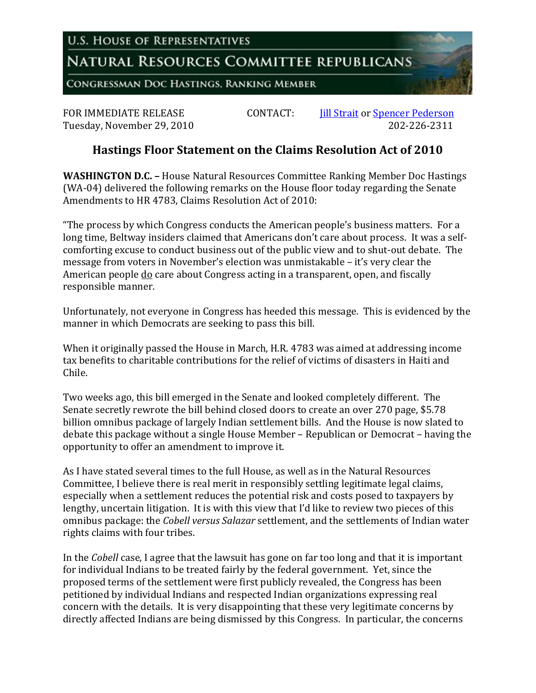**U.S. HOUSE OF REPRESENTATIVES** 

## NATURAL RESOURCES COMMITTEE REPUBLICANS

CONGRESSMAN DOC HASTINGS, RANKING MEMBER

Tuesday, November 29, 2010

FOR IMMEDIATE RELEASE CONTACT: *Iill Strait* or <u>Spencer Pederson</u><br>Tuesday, November 29, 2010

## **Hastings Floor Statement on the Claims Resolution Act of 2010**

**WASHINGTON D.C. –** House Natural Resources Committee Ranking Member Doc Hastings (WA-04) delivered the following remarks on the House floor today regarding the Senate Amendments to HR 4783, Claims Resolution Act of 2010:

"The process by which Congress conducts the American people's business matters. For a long time, Beltway insiders claimed that Americans don't care about process. It was a selfcomforting excuse to conduct business out of the public view and to shut-out debate. The message from voters in November's election was unmistakable – it's very clear the American people do care about Congress acting in a transparent, open, and fiscally responsible manner.

Unfortunately, not everyone in Congress has heeded this message. This is evidenced by the manner in which Democrats are seeking to pass this bill.

When it originally passed the House in March, H.R. 4783 was aimed at addressing income tax benefits to charitable contributions for the relief of victims of disasters in Haiti and Chile.

Two weeks ago, this bill emerged in the Senate and looked completely different. The Senate secretly rewrote the bill behind closed doors to create an over 270 page, \$5.78 billion omnibus package of largely Indian settlement bills. And the House is now slated to debate this package without a single House Member – Republican or Democrat – having the opportunity to offer an amendment to improve it.

As I have stated several times to the full House, as well as in the Natural Resources Committee, I believe there is real merit in responsibly settling legitimate legal claims, especially when a settlement reduces the potential risk and costs posed to taxpayers by lengthy, uncertain litigation. It is with this view that I'd like to review two pieces of this omnibus package: the *Cobell versus Salazar* settlement, and the settlements of Indian water rights claims with four tribes.

In the *Cobell* case, I agree that the lawsuit has gone on far too long and that it is important for individual Indians to be treated fairly by the federal government. Yet, since the proposed terms of the settlement were first publicly revealed, the Congress has been petitioned by individual Indians and respected Indian organizations expressing real concern with the details. It is very disappointing that these very legitimate concerns by directly affected Indians are being dismissed by this Congress. In particular, the concerns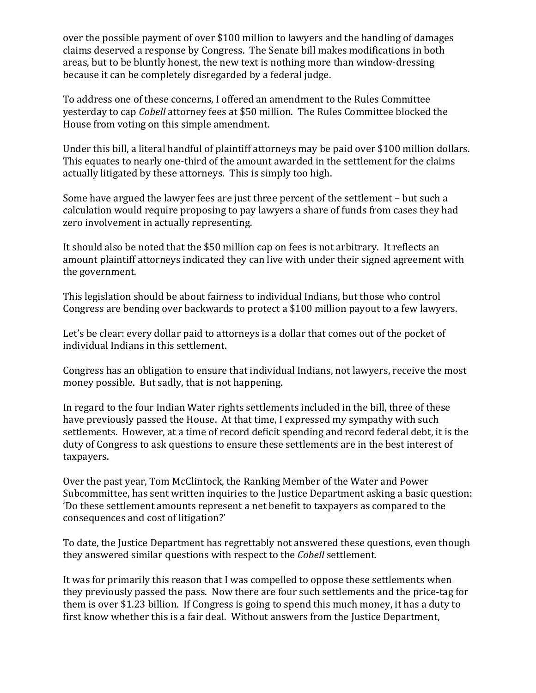over the possible payment of over \$100 million to lawyers and the handling of damages claims deserved a response by Congress. The Senate bill makes modifications in both areas, but to be bluntly honest, the new text is nothing more than window-dressing because it can be completely disregarded by a federal judge.

To address one of these concerns, I offered an amendment to the Rules Committee yesterday to cap *Cobell* attorney fees at \$50 million. The Rules Committee blocked the House from voting on this simple amendment.

Under this bill, a literal handful of plaintiff attorneys may be paid over \$100 million dollars. This equates to nearly one-third of the amount awarded in the settlement for the claims actually litigated by these attorneys. This is simply too high.

Some have argued the lawyer fees are just three percent of the settlement – but such a calculation would require proposing to pay lawyers a share of funds from cases they had zero involvement in actually representing.

It should also be noted that the \$50 million cap on fees is not arbitrary. It reflects an amount plaintiff attorneys indicated they can live with under their signed agreement with the government.

This legislation should be about fairness to individual Indians, but those who control Congress are bending over backwards to protect a \$100 million payout to a few lawyers.

Let's be clear: every dollar paid to attorneys is a dollar that comes out of the pocket of individual Indians in this settlement.

Congress has an obligation to ensure that individual Indians, not lawyers, receive the most money possible. But sadly, that is not happening.

In regard to the four Indian Water rights settlements included in the bill, three of these have previously passed the House. At that time, I expressed my sympathy with such settlements. However, at a time of record deficit spending and record federal debt, it is the duty of Congress to ask questions to ensure these settlements are in the best interest of taxpayers.

Over the past year, Tom McClintock, the Ranking Member of the Water and Power Subcommittee, has sent written inquiries to the Justice Department asking a basic question: 'Do these settlement amounts represent a net benefit to taxpayers as compared to the consequences and cost of litigation?'

To date, the Justice Department has regrettably not answered these questions, even though they answered similar questions with respect to the *Cobell* settlement.

It was for primarily this reason that I was compelled to oppose these settlements when they previously passed the pass. Now there are four such settlements and the price-tag for them is over \$1.23 billion. If Congress is going to spend this much money, it has a duty to first know whether this is a fair deal. Without answers from the Justice Department,